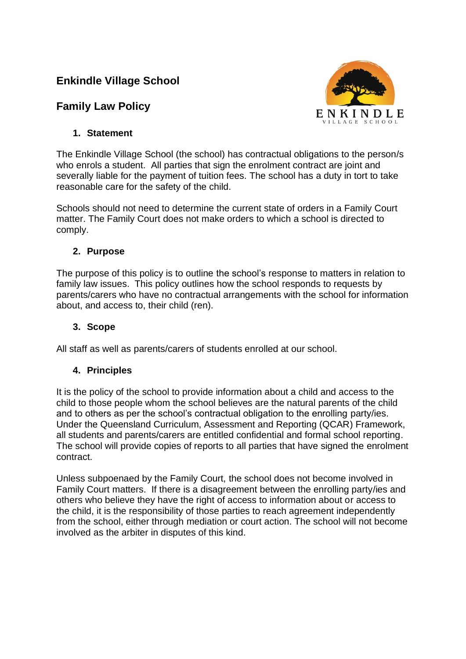# **Enkindle Village School**

# **Family Law Policy**



## **1. Statement**

The Enkindle Village School (the school) has contractual obligations to the person/s who enrols a student. All parties that sign the enrolment contract are joint and severally liable for the payment of tuition fees. The school has a duty in tort to take reasonable care for the safety of the child.

Schools should not need to determine the current state of orders in a Family Court matter. The Family Court does not make orders to which a school is directed to comply.

### **2. Purpose**

The purpose of this policy is to outline the school's response to matters in relation to family law issues. This policy outlines how the school responds to requests by parents/carers who have no contractual arrangements with the school for information about, and access to, their child (ren).

### **3. Scope**

All staff as well as parents/carers of students enrolled at our school.

### **4. Principles**

It is the policy of the school to provide information about a child and access to the child to those people whom the school believes are the natural parents of the child and to others as per the school's contractual obligation to the enrolling party/ies. Under the Queensland Curriculum, Assessment and Reporting (QCAR) Framework, all students and parents/carers are entitled confidential and formal school reporting. The school will provide copies of reports to all parties that have signed the enrolment contract.

Unless subpoenaed by the Family Court, the school does not become involved in Family Court matters. If there is a disagreement between the enrolling party/ies and others who believe they have the right of access to information about or access to the child, it is the responsibility of those parties to reach agreement independently from the school, either through mediation or court action. The school will not become involved as the arbiter in disputes of this kind.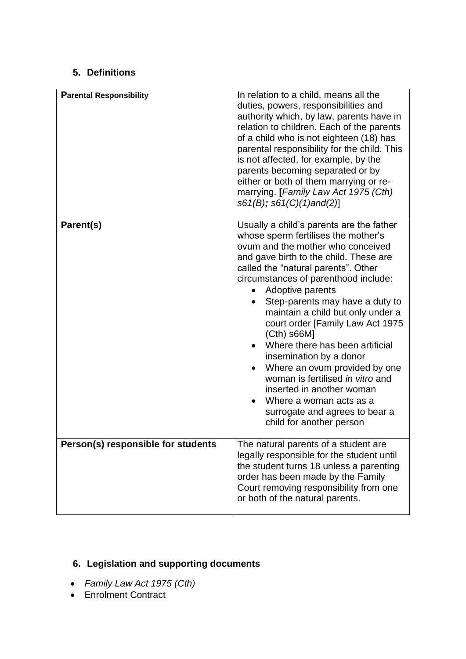## **5. Definitions**

| <b>Parental Responsibility</b>     | In relation to a child, means all the<br>duties, powers, responsibilities and<br>authority which, by law, parents have in<br>relation to children. Each of the parents<br>of a child who is not eighteen (18) has<br>parental responsibility for the child. This<br>is not affected, for example, by the<br>parents becoming separated or by<br>either or both of them marrying or re-<br>marrying. [Family Law Act 1975 (Cth)<br>$s61(B); s61(C)(1)$ and $(2)$ ]                                                                                                                                                                                       |
|------------------------------------|---------------------------------------------------------------------------------------------------------------------------------------------------------------------------------------------------------------------------------------------------------------------------------------------------------------------------------------------------------------------------------------------------------------------------------------------------------------------------------------------------------------------------------------------------------------------------------------------------------------------------------------------------------|
| Parent(s)                          | Usually a child's parents are the father<br>whose sperm fertilises the mother's<br>ovum and the mother who conceived<br>and gave birth to the child. These are<br>called the "natural parents". Other<br>circumstances of parenthood include:<br>Adoptive parents<br>Step-parents may have a duty to<br>maintain a child but only under a<br>court order [Family Law Act 1975<br>$(Cth)$ s66M]<br>Where there has been artificial<br>insemination by a donor<br>Where an ovum provided by one<br>woman is fertilised in vitro and<br>inserted in another woman<br>Where a woman acts as a<br>surrogate and agrees to bear a<br>child for another person |
| Person(s) responsible for students | The natural parents of a student are<br>legally responsible for the student until<br>the student turns 18 unless a parenting<br>order has been made by the Family<br>Court removing responsibility from one<br>or both of the natural parents.                                                                                                                                                                                                                                                                                                                                                                                                          |

# **6. Legislation and supporting documents**

- *Family Law Act 1975 (Cth)*
- Enrolment Contract